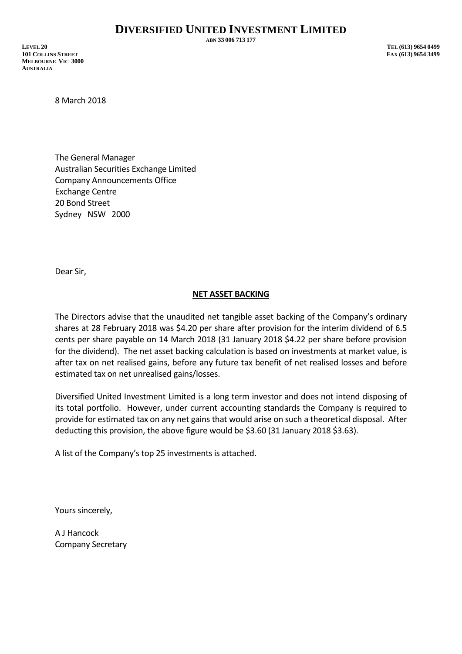**ABN 33 006 713 177**

**LEVEL 20 TEL (613) 9654 0499 101 COLLINS STREET FAX (613) 9654 3499 MELBOURNE VIC 3000 AUSTRALIA**

8 March 2018

The General Manager Australian Securities Exchange Limited Company Announcements Office Exchange Centre 20 Bond Street Sydney NSW 2000

Dear Sir,

## **NET ASSET BACKING**

The Directors advise that the unaudited net tangible asset backing of the Company's ordinary shares at 28 February 2018 was \$4.20 per share after provision for the interim dividend of 6.5 cents per share payable on 14 March 2018 (31 January 2018 \$4.22 per share before provision for the dividend). The net asset backing calculation is based on investments at market value, is after tax on net realised gains, before any future tax benefit of net realised losses and before estimated tax on net unrealised gains/losses.

Diversified United Investment Limited is a long term investor and does not intend disposing of its total portfolio. However, under current accounting standards the Company is required to provide for estimated tax on any net gains that would arise on such a theoretical disposal. After deducting this provision, the above figure would be \$3.60 (31 January 2018 \$3.63).

A list of the Company's top 25 investments is attached.

Yours sincerely,

A J Hancock Company Secretary